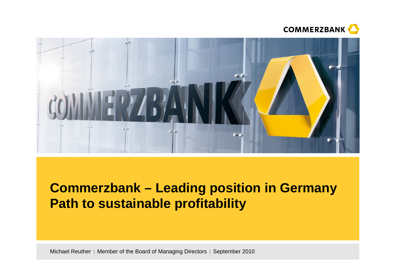



# **Commerzbank – Leading position in GermanyPath to sustainable profitability**

Michael Reuther | Member of the Board of Managing Directors | September 2010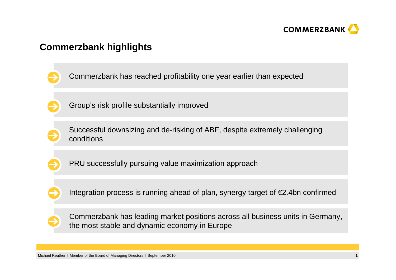

# **Commerzbank highlights**

- Commerzbank has reached profitability one year earlier than expected
- Group's risk profile substantially improved
- 
- Successful downsizing and de-risking of ABF, despite extremely challenging conditions
- 
- PRU successfully pursuing value maximization approach
- 
- Integration process is running ahead of plan, synergy target of  $\epsilon$ 2.4bn confirmed



Commerzbank has leading market positions across all business units in Germany, the most stable and dynamic economy in Europe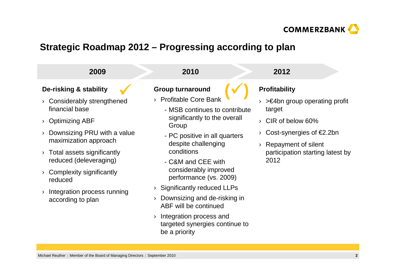

# **Strategic Roadmap 2012 – Progressing according to plan**

| 2009                                                 | 2010                                                                                       | 2012                                               |
|------------------------------------------------------|--------------------------------------------------------------------------------------------|----------------------------------------------------|
| De-risking & stability                               | <b>Group turnaround</b>                                                                    | <b>Profitability</b>                               |
| Considerably strengthened<br>financial base          | <b>Profitable Core Bank</b><br>- MSB continues to contribute                               | $\geq$ E4bn group operating profit<br>target       |
| <b>Optimizing ABF</b>                                | significantly to the overall<br>Group                                                      | CIR of below 60%                                   |
| Downsizing PRU with a value<br>maximization approach | - PC positive in all quarters<br>despite challenging                                       | Cost-synergies of $E2.2$ bn<br>Repayment of silent |
| Total assets significantly<br>reduced (deleveraging) | conditions<br>- C&M and CEE with                                                           | participation starting latest by<br>2012           |
| Complexity significantly<br>reduced                  | considerably improved<br>performance (vs. 2009)                                            |                                                    |
| Integration process running<br>according to plan     | <b>Significantly reduced LLPs</b><br>Downsizing and de-risking in<br>ABF will be continued |                                                    |

› Integration process and targeted synergies continue to be a priority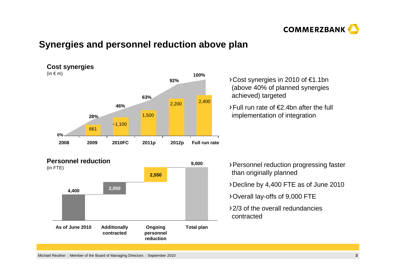

# **Synergies and personnel reduction above plan**



**Personnel reduction**



Cost synergies in 2010 of €1.1bn (above 40% of planned synergies achieved) targeted

Full run rate of €2.4bn after the full implementation of integration

- Personnel reduction progressing faster than originally planned
- Decline by 4,400 FTE as of June 2010
- Overall lay-offs of 9,000 FTE
- 2/3 of the overall redundancies contracted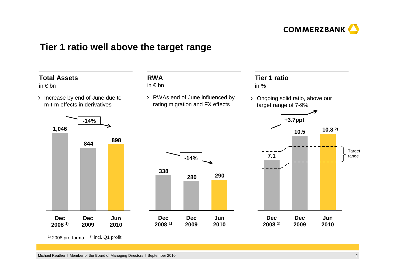

### **Tier 1 ratio well above the target range**



 $1)$  2008 pro-forma  $2)$  incl. Q1 profit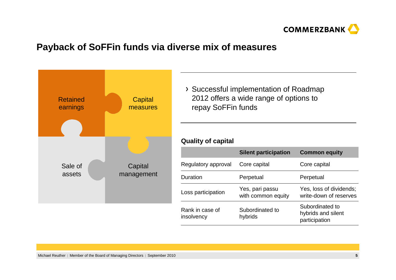

# **Payback of SoFFin funds via diverse mix of measures**



Successful implementation of Roadmap 2012 offers a wide range of options to repay SoFFin funds

#### **Quality of capital**

|                               | <b>Silent participation</b>           | <b>Common equity</b>                                   |
|-------------------------------|---------------------------------------|--------------------------------------------------------|
| Regulatory approval           | Core capital                          | Core capital                                           |
| Duration                      | Perpetual                             | Perpetual                                              |
| Loss participation            | Yes, pari passu<br>with common equity | Yes, loss of dividends;<br>write-down of reserves      |
| Rank in case of<br>insolvency | Subordinated to<br>hybrids            | Subordinated to<br>hybrids and silent<br>participation |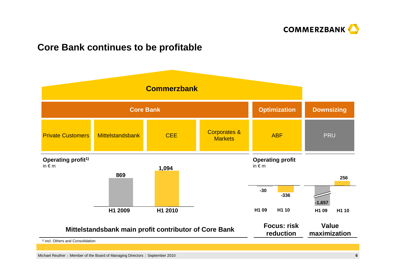

# **Core Bank continues to be profitable**

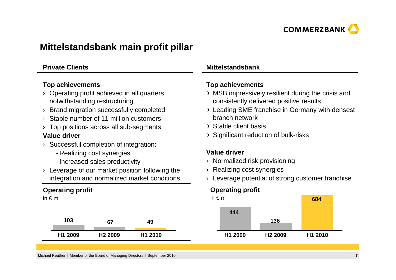

# **Mittelstandsbank main profit pillar**

#### **Private Clients**

#### **Top achievements**

- › Operating profit achieved in all quarters notwithstanding restructuring
- › Brand migration successfully completed
- › Stable number of 11 million customers
- $\rightarrow$  Top positions across all sub-segments

#### **Value driver**

- › Successful completion of integration:
	- Realizing cost synergies
	- Increased sales productivity
- › Leverage of our market position following the integration and normalized market conditions

### **Operating profit**

in  $\notin$  m

| 103     |                     | 49      |
|---------|---------------------|---------|
| H1 2009 | H <sub>2</sub> 2009 | H1 2010 |

#### **Mittelstandsbank**

#### **Top achievements**

- MSB impressively resilient during the crisis and consistently delivered positive results
- Leading SME franchise in Germany with densest branch network
- Stable client basis
- Significant reduction of bulk-risks

#### **Value driver**

- › Normalized risk provisioning
- $\rightarrow$  Realizing cost synergies
- $\rightarrow$  Leverage potential of strong customer franchise

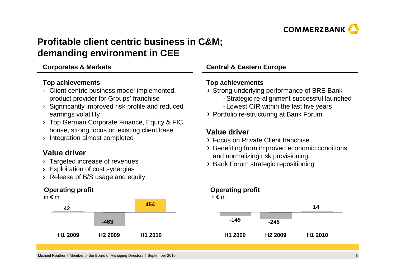

# **Profitable client centric business in C&M;demanding environment in CEE**

#### **Corporates & Markets**

#### **Top achievements**

- › Client centric business model implemented, product provider for Groups' franchise
- › Significantly improved risk profile and reduced earnings volatility
- › Top German Corporate Finance, Equity & FIC house, strong focus on existing client base
- › Integration almost completed

### **Value driver**

- › Targeted increase of revenues
- › Exploitation of cost synergies
- › Release of B/S usage and equity

#### **Operating profit**in € <sup>m</sup>



### **Central & Eastern Europe**

#### **Top achievements**

- Strong underlying performance of BRE Bank
	- Strategic re-alignment successful launched
	- Lowest CIR within the last five years
- Portfolio re-structuring at Bank Forum

### **Value driver**

- Focus on Private Client franchise
- Benefiting from improved economic conditions and normalizing risk provisioning
- Bank Forum strategic repositioning



Michael Reuther | Member of the Board of Managing Directors | September 2010 **<sup>8</sup>**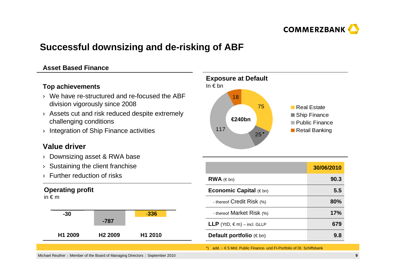

# **Successful downsizing and de-risking of ABF**

#### **Asset Based Finance**

#### **Top achievements**

- › We have re-structured and re-focused the ABF division vigorously since 2008
- › Assets cut and risk reduced despite extremely challenging conditions
- › Integration of Ship Finance activities

### **Value driver**

- › Downsizing asset & RWA base
- › Sustaining the client franchise
- › Further reduction of risks

#### **Operating profit**

in € <sup>m</sup>





|                                        | 30/06/2010 |
|----------------------------------------|------------|
| $RWA$ ( $\in$ bn)                      | 90.3       |
| <b>Economic Capital</b> $(\in$ bn)     | 5.5        |
| - thereof Credit Risk (%)              | 80%        |
| - thereof Market Risk (%)              | 17%        |
| <b>LLP</b> (YtD, $\in$ m) – incl. GLLP | 679        |
| <b>Default portfolio</b> ( $\in$ bn)   | 9.8        |

\*) add. ~ € 5 Mrd. Public Finance- und FI-Portfolio of Dt. Schiffsbank

Michael Reuther | Member of the Board of Managing Directors | September 2010 **<sup>9</sup>**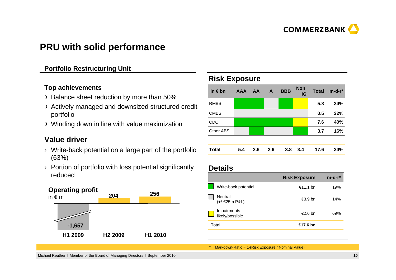

# **PRU with solid performance**

#### **Portfolio Restructuring Unit**

#### **Top achievements**

- > Balance sheet reduction by more than 50%
- Actively managed and downsized structured credit portfolio
- Winding down in line with value maximization

### **Value driver**

- › Write-back potential on a large part of the portfolio (63%)
- › Portion of portfolio with loss potential significantly reduced



#### **Risk Exposure**

| in $\epsilon$ bn | <b>AAA</b> | AA  | A   | <b>BBB</b> | <b>Non</b><br>IG | <b>Total</b> | $m-d-r$ |
|------------------|------------|-----|-----|------------|------------------|--------------|---------|
| <b>RMBS</b>      |            |     |     |            |                  | 5.8          | 34%     |
| <b>CMBS</b>      |            |     |     |            |                  | 0.5          | 32%     |
| CDO              |            |     |     |            |                  | 7.6          | 40%     |
| Other ABS        |            |     |     |            |                  | 3.7          | 16%     |
|                  |            |     |     |            |                  |              |         |
| <b>Total</b>     | 5.4        | 2.6 | 2.6 | 3.8        | 3.4              | 17.6         | 34%     |

#### **Details**

|                                | <b>Risk Exposure</b> | $m-d-r$ * |
|--------------------------------|----------------------|-----------|
| Write-back potential           | €11.1 bn             | 19%       |
| Neutral<br>(+/-€25m P&L)       | €3.9 bn              | 14%       |
| Impairments<br>likely/possible | €2.6 bn              | 69%       |
| Total                          | €17.6 bn             |           |
|                                |                      |           |

\* Markdown-Ratio = 1-(Risk Exposure / Nominal Value)

Michael Reuther | Member of the Board of Managing Directors | September 2010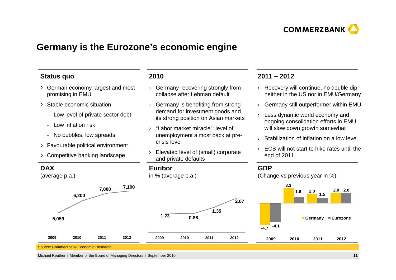

## **Germany is the Eurozone's economic engine**

#### **Status quo**

- German economy largest and most promising in EMU
- Stable economic situation
	- Low level of private sector debt
	- Low inflation risk
	- No bubbles, low spreads
- Favourable political environment
- Competitive banking landscape

#### **2010**

- › Germany recovering strongly from collapse after Lehman default
- › Germany is benefiting from strong demand for investment goods and its strong position on Asian markets
- › "Labor market miracle": level of unemployment almost back at precrisis level
- › Elevated level of (small) corporate and private defaults

#### **2011 – 2012**

- › Recovery will continue, no double dip neither in the US nor in EMU/Germany
- $\rightarrow$   $\,$  Germany still outperformer within EMU
- › Less dynamic world economy and ongoing consolidation efforts in EMU will slow down growth somewhat
- $\rightarrow$  Stabilization of inflation on a low level
- › ECB will not start to hike rates until the end of 2011



Michael Reuther | Member of the Board of Managing Directors | September 2010 0 **11**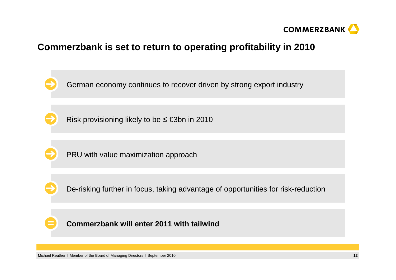

# **Commerzbank is set to return to operating profitability in 2010**

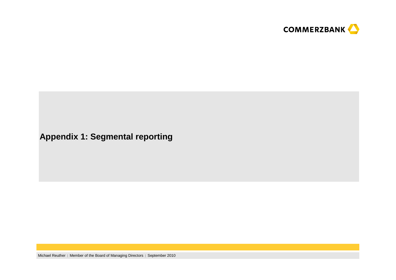

# **Appendix 1: Segmental reporting**

Michael Reuther | Member of the Board of Managing Directors | September 2010 **<sup>13</sup>**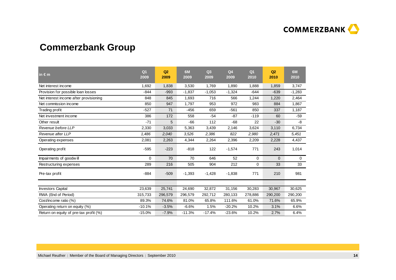

# **Commerzbank Group**

| in $\epsilon$ m                        | Q <sub>1</sub><br>2009 | Q2<br>2009 | 6M<br>2009 | Q <sub>3</sub><br>2009 | Q <sub>4</sub><br>2009 | Q <sub>1</sub><br>2010 | Q2<br>2010     | 6M<br>2010 |
|----------------------------------------|------------------------|------------|------------|------------------------|------------------------|------------------------|----------------|------------|
| Net interest income                    | 1,692                  | 1,838      | 3,530      | 1,769                  | 1,890                  | 1,888                  | 1,859          | 3,747      |
| Provision for possible loan losses     | $-844$                 | $-993$     | $-1,837$   | $-1,053$               | $-1,324$               | $-644$                 | $-639$         | $-1,283$   |
| Net interest income after provisioning | 848                    | 845        | 1,693      | 716                    | 566                    | 1,244                  | 1,220          | 2,464      |
| Net commission income                  | 850                    | 947        | 1,797      | 953                    | 972                    | 983                    | 884            | 1,867      |
| Trading profit                         | $-527$                 | 71         | $-456$     | 659                    | $-561$                 | 850                    | 337            | 1,187      |
| Net investment income                  | 386                    | 172        | 558        | $-54$                  | $-87$                  | $-119$                 | 60             | $-59$      |
| Other result                           | $-71$                  | 5          | $-66$      | 112                    | $-68$                  | 22                     | $-30$          | -8         |
| Revenue before LLP                     | 2,330                  | 3,033      | 5,363      | 3,439                  | 2,146                  | 3,624                  | 3,110          | 6,734      |
| Revenue after LLP                      | 1,486                  | 2,040      | 3,526      | 2,386                  | 822                    | 2,980                  | 2,471          | 5,451      |
| Operating expenses                     | 2,081                  | 2,263      | 4,344      | 2,264                  | 2,396                  | 2,209                  | 2,228          | 4,437      |
| Operating profit                       | $-595$                 | $-223$     | $-818$     | 122                    | $-1,574$               | 771                    | 243            | 1,014      |
| Impairments of goodwill                | $\Omega$               | 70         | 70         | 646                    | 52                     | 0                      | $\overline{0}$ | 0          |
| Restructuring expenses                 | 289                    | 216        | 505        | 904                    | 212                    | 0                      | 33             | 33         |
| Pre-tax profit                         | $-884$                 | $-509$     | $-1,393$   | $-1,428$               | $-1,838$               | 771                    | 210            | 981        |
|                                        |                        |            |            |                        |                        |                        |                |            |
| <b>Investors Capital</b>               | 23,639                 | 25,741     | 24,690     | 32,872                 | 31,156                 | 30,283                 | 30,967         | 30,625     |
| RWA (End of Period)                    | 315,733                | 296,579    | 296,579    | 292,712                | 280,133                | 278,886                | 290,200        | 290,200    |
| Cost/income ratio (%)                  | 89.3%                  | 74.6%      | 81.0%      | 65.8%                  | 111.6%                 | 61.0%                  | 71.6%          | 65.9%      |
| Operating return on equity (%)         | $-10.1%$               | $-3.5%$    | $-6.6%$    | 1.5%                   | $-20.2%$               | 10.2%                  | 3.1%           | 6.6%       |
| Return on equity of pre-tax profit (%) | $-15.0%$               | $-7.9%$    | $-11.3%$   | $-17.4%$               | $-23.6%$               | 10.2%                  | 2.7%           | 6.4%       |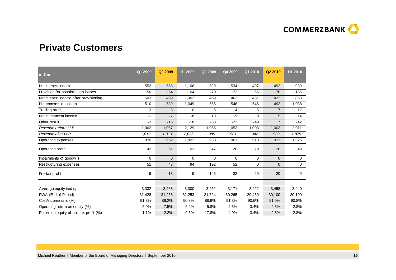

# **Private Customers**

| $\mathsf{in} \in \mathsf{m}$           | Q1 2009  | Q <sub>2</sub> 2009 | H1 2009     | Q3 2009  | Q4 2009     | Q1 2010     | Q <sub>2</sub> 2010 | H1 2010     |
|----------------------------------------|----------|---------------------|-------------|----------|-------------|-------------|---------------------|-------------|
| Net interest income                    | 553      | 553                 | 1,106       | 529      | 534         | 497         | 492                 | 989         |
| Provision for possible loan losses     | $-50$    | $-54$               | $-104$      | $-70$    | $-72$       | $-66$       | $-70$               | $-136$      |
| Net interest income after provisioning | 503      | 499                 | 1,002       | 459      | 462         | 431         | 422                 | 853         |
| Net commission income                  | 510      | 539                 | 1,049       | 565      | 546         | 546         | 492                 | 1,038       |
| Trading profit                         | 3        | $-3$                | $\mathbf 0$ | 6        | 4           | 5           | $\overline{7}$      | 12          |
| Net investment income                  | $-1$     | $-7$                | -8          | 13       | -9          | 9           | 5                   | 14          |
| Other result                           | $-3$     | $-15$               | $-18$       | $-58$    | $-22$       | $-49$       | $\overline{7}$      | $-42$       |
| Revenue before LLP                     | 1,062    | 1,067               | 2,129       | 1,055    | 1,053       | 1,008       | 1,003               | 2,011       |
| Revenue after LLP                      | 1,012    | 1,013               | 2,025       | 985      | 981         | 942         | 933                 | 1,875       |
| Operating expenses                     | 970      | 952                 | 1,922       | 938      | 961         | 913         | 913                 | 1,826       |
| Operating profit                       | 42       | 61                  | 103         | 47       | 20          | 29          | 20                  | 49          |
| Impairments of goodwill                | $\Omega$ | $\mathbf{0}$        | $\mathbf 0$ | 0        | $\mathbf 0$ | 0           | 0                   | $\mathbf 0$ |
| Restructuring expenses                 | 51       | 43                  | 94          | 192      | 52          | $\mathbf 0$ | 0                   | 0           |
| Pre-tax profit                         | -9       | 18                  | 9           | $-145$   | $-32$       | 29          | 20                  | 49          |
|                                        |          |                     |             |          |             |             |                     |             |
| Average equity tied up                 | 3,332    | 3,268               | 3,300       | 3,252    | 3,171       | 3,422       | 3,458               | 3,440       |
| RWA (End of Period)                    | 31,428   | 31,253              | 31,253      | 31,524   | 30,265      | 29,450      | 30,100              | 30,100      |
| Cost/income ratio (%)                  | 91.3%    | 89.2%               | 90.3%       | 88.9%    | 91.3%       | 90.6%       | 91.0%               | 90.8%       |
| Operating return on equity (%)         | 5.0%     | 7.5%                | 6.2%        | 5.8%     | 2.5%        | 3.4%        | 2.3%                | 2.8%        |
| Return on equity of pre-tax profit (%) | $-1.1%$  | 2.2%                | 0.5%        | $-17.8%$ | $-4.0%$     | 3.4%        | 2.3%                | 2.8%        |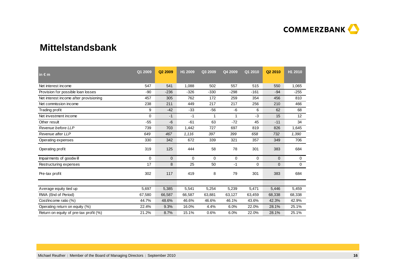

### **Mittelstandsbank**

| in $\epsilon$ m                        | Q1 2009  | Q2 2009      | H1 2009     | Q3 2009     | Q4 2009     | Q1 2010     | Q2 2010        | H1 2010     |
|----------------------------------------|----------|--------------|-------------|-------------|-------------|-------------|----------------|-------------|
| Net interest income                    | 547      | 541          | 1,088       | 502         | 557         | 515         | 550            | 1,065       |
| Provision for possible loan losses     | $-90$    | $-236$       | $-326$      | $-330$      | $-298$      | $-161$      | $-94$          | $-255$      |
| Net interest income after provisioning | 457      | 305          | 762         | 172         | 259         | 354         | 456            | 810         |
| Net commission income                  | 238      | 211          | 449         | 217         | 217         | 256         | 210            | 466         |
| Trading profit                         | 9        | $-42$        | $-33$       | $-56$       | $-6$        | 6           | 62             | 68          |
| Net investment income                  | $\Omega$ | $-1$         | $-1$        | 1           | 1           | $-3$        | 15             | 12          |
| Other result                           | $-55$    | $-6$         | $-61$       | 63          | $-72$       | 45          | $-11$          | 34          |
| Revenue before LLP                     | 739      | 703          | 1,442       | 727         | 697         | 819         | 826            | 1,645       |
| Revenue after LLP                      | 649      | 467          | 1,116       | 397         | 399         | 658         | 732            | 1,390       |
| Operating expenses                     | 330      | 342          | 672         | 339         | 321         | 357         | 349            | 706         |
| Operating profit                       | 319      | 125          | 444         | 58          | 78          | 301         | 383            | 684         |
| Impairments of goodwill                | 0        | $\mathbf{0}$ | $\mathbf 0$ | $\mathbf 0$ | $\mathbf 0$ | $\mathbf 0$ | $\overline{0}$ | 0           |
| Restructuring expenses                 | 17       | 8            | 25          | 50          | $-1$        | 0           | $\overline{0}$ | $\mathbf 0$ |
| Pre-tax profit                         | 302      | 117          | 419         | 8           | 79          | 301         | 383            | 684         |
|                                        |          |              |             |             |             |             |                |             |
| Average equity tied up                 | 5,697    | 5,385        | 5,541       | 5,254       | 5,239       | 5,471       | 5,446          | 5,459       |
| RWA (End of Period)                    | 67,580   | 66,587       | 66,587      | 63,881      | 63,127      | 63,459      | 68,338         | 68,338      |
| Cost/income ratio (%)                  | 44.7%    | 48.6%        | 46.6%       | 46.6%       | 46.1%       | 43.6%       | 42.3%          | 42.9%       |
| Operating return on equity (%)         | 22.4%    | 9.3%         | 16.0%       | 4.4%        | 6.0%        | 22.0%       | 28.1%          | 25.1%       |
| Return on equity of pre-tax profit (%) | 21.2%    | 8.7%         | 15.1%       | 0.6%        | 6.0%        | 22.0%       | 28.1%          | 25.1%       |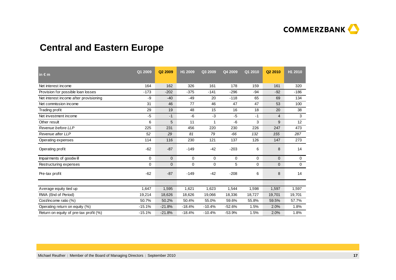

# **Central and Eastern Europe**

| in $\epsilon$ m                        | Q1 2009     | Q2 2009      | H1 2009  | Q3 2009      | Q4 2009     | Q1 2010 | Q <sub>2</sub> 2010 | H1 2010      |
|----------------------------------------|-------------|--------------|----------|--------------|-------------|---------|---------------------|--------------|
| Net interest income                    | 164         | 162          | 326      | 161          | 178         | 159     | 161                 | 320          |
| Provision for possible loan losses     | $-173$      | $-202$       | $-375$   | $-141$       | $-296$      | $-94$   | $-92$               | $-186$       |
| Net interest income after provisioning | $-9$        | $-40$        | $-49$    | 20           | $-118$      | 65      | 69                  | 134          |
| Net commission income                  | 31          | 46           | 77       | 46           | 47          | 47      | 53                  | 100          |
| Trading profit                         | 29          | 19           | 48       | 15           | 16          | 18      | 20                  | 38           |
| Net investment income                  | $-5$        | $-1$         | $-6$     | $-3$         | $-5$        | $-1$    | $\overline{4}$      | 3            |
| Other result                           | 6           | 5            | 11       | $\mathbf{1}$ | $-6$        | 3       | 9                   | 12           |
| Revenue before LLP                     | 225         | 231          | 456      | 220          | 230         | 226     | 247                 | 473          |
| Revenue after LLP                      | 52          | 29           | 81       | 79           | $-66$       | 132     | 155                 | 287          |
| Operating expenses                     | 114         | 116          | 230      | 121          | 137         | 126     | 147                 | 273          |
| Operating profit                       | $-62$       | $-87$        | $-149$   | $-42$        | $-203$      | 6       | 8                   | 14           |
| Impairments of goodwill                | $\mathbf 0$ | $\mathbf 0$  | 0        | 0            | $\mathbf 0$ | 0       | $\overline{0}$      | $\mathbf{0}$ |
| Restructuring expenses                 | $\mathbf 0$ | $\mathbf{0}$ | 0        | 0            | 5           | 0       | $\overline{0}$      | $\mathbf 0$  |
| Pre-tax profit                         | $-62$       | $-87$        | $-149$   | $-42$        | $-208$      | 6       | 8                   | 14           |
|                                        |             |              |          |              |             |         |                     |              |
| Average equity tied up                 | 1,647       | 1,595        | 1,621    | 1,623        | 1,544       | 1,598   | 1,597               | 1,597        |
| RWA (End of Period)                    | 19,214      | 18,626       | 18,626   | 19,066       | 18,336      | 18,727  | 19,701              | 19,701       |
| Cost/income ratio (%)                  | 50.7%       | 50.2%        | 50.4%    | 55.0%        | 59.6%       | 55.8%   | 59.5%               | 57.7%        |
| Operating return on equity (%)         | $-15.1%$    | $-21.8%$     | $-18.4%$ | $-10.4%$     | $-52.6%$    | 1.5%    | 2.0%                | 1.8%         |
| Return on equity of pre-tax profit (%) | $-15.1%$    | $-21.8%$     | $-18.4%$ | $-10.4%$     | $-53.9%$    | 1.5%    | 2.0%                | 1.8%         |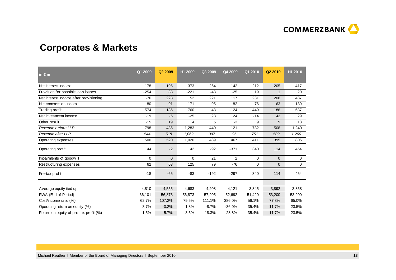

# **Corporates & Markets**

| in $\epsilon$ m                        | Q1 2009     | Q2 2009      | H1 2009 | Q3 2009  | Q4 2009        | Q1 2010     | Q2 2010      | H1 2010     |
|----------------------------------------|-------------|--------------|---------|----------|----------------|-------------|--------------|-------------|
| Net interest income                    | 178         | 195          | 373     | 264      | 142            | 212         | 205          | 417         |
| Provision for possible loan losses     | $-254$      | 33           | $-221$  | $-43$    | $-25$          | 19          | $\mathbf 1$  | 20          |
| Net interest income after provisioning | $-76$       | 228          | 152     | 221      | 117            | 231         | 206          | 437         |
| Net commission income                  | 80          | 91           | 171     | 95       | 82             | 76          | 63           | 139         |
| Trading profit                         | 574         | 186          | 760     | 48       | $-124$         | 449         | 188          | 637         |
| Net investment income                  | $-19$       | $-6$         | $-25$   | 28       | 24             | $-14$       | 43           | 29          |
| Other result                           | $-15$       | 19           | 4       | 5        | $-3$           | 9           | 9            | 18          |
| Revenue before LLP                     | 798         | 485          | 1,283   | 440      | 121            | 732         | 508          | 1,240       |
| Revenue after LLP                      | 544         | 518          | 1,062   | 397      | 96             | 751         | 509          | 1,260       |
| Operating expenses                     | 500         | 520          | 1,020   | 489      | 467            | 411         | 395          | 806         |
| Operating profit                       | 44          | $-2$         | 42      | $-92$    | $-371$         | 340         | 114          | 454         |
| Impairments of goodwill                | $\mathbf 0$ | $\mathbf{0}$ | 0       | 21       | $\overline{2}$ | $\mathbf 0$ | $\mathbf{0}$ | 0           |
| Restructuring expenses                 | 62          | 63           | 125     | 79       | $-76$          | $\mathbf 0$ | $\mathbf{0}$ | $\mathbf 0$ |
| Pre-tax profit                         | $-18$       | $-65$        | $-83$   | $-192$   | $-297$         | 340         | 114          | 454         |
|                                        |             |              |         |          |                |             |              |             |
| Average equity tied up                 | 4,810       | 4,555        | 4,683   | 4,208    | 4,121          | 3,845       | 3,892        | 3,868       |
| RWA (End of Period)                    | 66,101      | 56,873       | 56,873  | 57,205   | 52,692         | 51,420      | 53,200       | 53,200      |
| Cost/income ratio (%)                  | 62.7%       | 107.2%       | 79.5%   | 111.1%   | 386.0%         | 56.1%       | 77.8%        | 65.0%       |
| Operating return on equity (%)         | 3.7%        | $-0.2%$      | 1.8%    | $-8.7%$  | $-36.0%$       | 35.4%       | 11.7%        | 23.5%       |
| Return on equity of pre-tax profit (%) | $-1.5%$     | $-5.7%$      | $-3.5%$ | $-18.3%$ | $-28.8%$       | 35.4%       | 11.7%        | 23.5%       |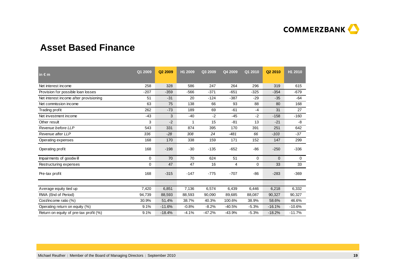

# **Asset Based Finance**

| $\mathsf{in} \in \mathsf{m}$           | Q1 2009 | Q <sub>2</sub> 2009 | H1 2009 | Q3 2009  | Q4 2009  | Q1 2010 | Q <sub>2</sub> 2010 | H1 2010  |
|----------------------------------------|---------|---------------------|---------|----------|----------|---------|---------------------|----------|
| Net interest income                    | 258     | 328                 | 586     | 247      | 264      | 296     | 319                 | 615      |
| Provision for possible loan losses     | $-207$  | $-359$              | $-566$  | $-371$   | $-651$   | $-325$  | $-354$              | $-679$   |
| Net interest income after provisioning | 51      | $-31$               | 20      | $-124$   | $-387$   | $-29$   | $-35$               | $-64$    |
| Net commission income                  | 63      | 75                  | 138     | 66       | 93       | 88      | 80                  | 168      |
| Trading profit                         | 262     | $-73$               | 189     | 69       | $-61$    | $-4$    | 31                  | 27       |
| Net investment income                  | $-43$   | 3                   | $-40$   | $-2$     | $-45$    | $-2$    | $-158$              | $-160$   |
| Other result                           | 3       | $-2$                | 1       | 15       | $-81$    | 13      | $-21$               | -8       |
| Revenue before LLP                     | 543     | 331                 | 874     | 395      | 170      | 391     | 251                 | 642      |
| Revenue after LLP                      | 336     | $-28$               | 308     | 24       | $-481$   | 66      | $-103$              | $-37$    |
| Operating expenses                     | 168     | 170                 | 338     | 159      | 171      | 152     | 147                 | 299      |
| Operating profit                       | 168     | $-198$              | $-30$   | $-135$   | $-652$   | $-86$   | $-250$              | $-336$   |
| Impairments of goodwill                | 0       | 70                  | 70      | 624      | 51       | 0       | $\mathbf{0}$        | 0        |
| Restructuring expenses                 | 0       | 47                  | 47      | 16       | 4        | 0       | 33                  | 33       |
| Pre-tax profit                         | 168     | $-315$              | $-147$  | $-775$   | $-707$   | -86     | $-283$              | $-369$   |
|                                        |         |                     |         |          |          |         |                     |          |
| Average equity tied up                 | 7,420   | 6,851               | 7,136   | 6,574    | 6,439    | 6,446   | 6,218               | 6,332    |
| RWA (End of Period)                    | 94,739  | 88,593              | 88,593  | 90,090   | 89,685   | 88,087  | 90,327              | 90,327   |
| Cost/income ratio (%)                  | 30.9%   | 51.4%               | 38.7%   | 40.3%    | 100.6%   | 38.9%   | 58.6%               | 46.6%    |
| Operating return on equity (%)         | 9.1%    | $-11.6%$            | $-0.8%$ | $-8.2%$  | $-40.5%$ | $-5.3%$ | $-16.1%$            | $-10.6%$ |
| Return on equity of pre-tax profit (%) | 9.1%    | $-18.4%$            | $-4.1%$ | $-47.2%$ | $-43.9%$ | $-5.3%$ | $-18.2%$            | $-11.7%$ |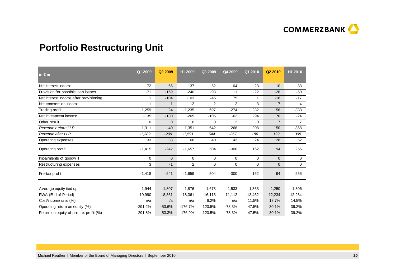

# **Portfolio Restructuring Unit**

| in $\epsilon$ m                        | Q1 2009   | Q <sub>2</sub> 2009 | H1 2009        | Q3 2009     | Q4 2009     | Q1 2010     | Q <sub>2</sub> 2010 | H1 2010        |
|----------------------------------------|-----------|---------------------|----------------|-------------|-------------|-------------|---------------------|----------------|
| Net interest income                    | 72        | 65                  | 137            | 52          | 64          | 23          | 10                  | 33             |
| Provision for possible loan losses     | $-71$     | $-169$              | $-240$         | $-98$       | 11          | $-22$       | $-28$               | $-50$          |
| Net interest income after provisioning | 1         | $-104$              | $-103$         | $-46$       | 75          | 1           | $-18$               | $-17$          |
| Net commission income                  | 11        | 1                   | 12             | $-2$        | 2           | $-3$        | $\overline{7}$      | 4              |
| Trading profit                         | $-1,259$  | 24                  | $-1,235$       | 697         | $-274$      | 282         | 56                  | 338            |
| Net investment income                  | $-135$    | $-130$              | $-265$         | $-105$      | $-62$       | $-94$       | 70                  | $-24$          |
| Other result                           | 0         | $\mathbf{0}$        | $\mathbf 0$    | 0           | 2           | $\mathbf 0$ | $\overline{7}$      | $\overline{7}$ |
| Revenue before LLP                     | $-1,311$  | $-40$               | $-1,351$       | 642         | $-268$      | 208         | 150                 | 358            |
| Revenue after LLP                      | $-1,382$  | $-209$              | $-1,591$       | 544         | $-257$      | 186         | 122                 | 308            |
| Operating expenses                     | 33        | 33                  | 66             | 40          | 43          | 24          | 28                  | 52             |
| Operating profit                       | $-1,415$  | $-242$              | $-1,657$       | 504         | $-300$      | 162         | 94                  | 256            |
| Impairments of goodwill                | 0         | $\mathbf{0}$        | 0              | $\mathbf 0$ | 0           | $\mathbf 0$ | $\mathbf{0}$        | 0              |
| Restructuring expenses                 | 3         | $-1$                | $\overline{2}$ | $\mathbf 0$ | $\mathbf 0$ | $\mathbf 0$ | $\overline{0}$      | $\mathbf 0$    |
| Pre-tax profit                         | $-1,418$  | $-241$              | $-1,659$       | 504         | $-300$      | 162         | 94                  | 256            |
|                                        |           |                     |                |             |             |             |                     |                |
| Average equity tied up                 | 1,944     | 1,807               | 1,876          | 1,673       | 1,533       | 1,363       | 1,250               | 1,306          |
| RWA (End of Period)                    | 19,990    | 18,361              | 18,361         | 16,113      | 11,112      | 13,462      | 12,234              | 12,234         |
| Cost/income ratio (%)                  | n/a       | n/a                 | n/a            | 6.2%        | n/a         | 11.5%       | 18.7%               | 14.5%          |
| Operating return on equity (%)         | $-291.2%$ | $-53.6%$            | $-176.7%$      | 120.5%      | $-78.3%$    | 47.5%       | 30.1%               | 39.2%          |
| Return on equity of pre-tax profit (%) | $-291.8%$ | $-53.3%$            | $-176.9%$      | 120.5%      | $-78.3%$    | 47.5%       | 30.1%               | 39.2%          |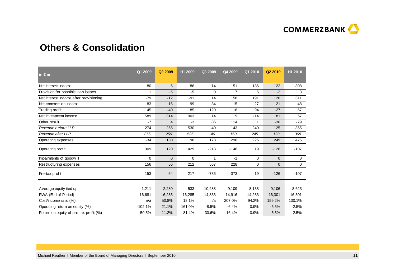

# **Others & Consolidation**

| in $\epsilon$ m                        | Q1 2009   | Q <sub>2</sub> 2009 | H1 2009     | Q3 2009     | Q4 2009  | Q1 2010 | Q <sub>2</sub> 2010 | H1 2010     |
|----------------------------------------|-----------|---------------------|-------------|-------------|----------|---------|---------------------|-------------|
| Net interest income                    | $-80$     | $-6$                | $-86$       | 14          | 151      | 186     | 122                 | 308         |
| Provision for possible loan losses     | 1         | $-6$                | $-5$        | $\mathbf 0$ | 7        | 5       | $-2$                | 3           |
| Net interest income after provisioning | $-79$     | $-12$               | $-91$       | 14          | 158      | 191     | 120                 | 311         |
| Net commission income                  | $-83$     | $-16$               | -99         | $-34$       | $-15$    | $-27$   | $-21$               | $-48$       |
| Trading profit                         | $-145$    | $-40$               | $-185$      | $-120$      | $-116$   | 94      | $-27$               | 67          |
| Net investment income                  | 589       | 314                 | 903         | 14          | 9        | $-14$   | 81                  | 67          |
| Other result                           | $-7$      | $\overline{4}$      | $-3$        | 86          | 114      | 1       | $-30$               | $-29$       |
| Revenue before LLP                     | 274       | 256                 | 530         | $-40$       | 143      | 240     | 125                 | 365         |
| Revenue after LLP                      | 275       | 250                 | 525         | $-40$       | 150      | 245     | 123                 | 368         |
| Operating expenses                     | $-34$     | 130                 | 96          | 178         | 296      | 226     | 249                 | 475         |
| Operating profit                       | 309       | 120                 | 429         | $-218$      | $-146$   | 19      | $-126$              | $-107$      |
| Impairments of goodwill                | $\Omega$  | $\mathbf{0}$        | $\mathbf 0$ | 1           | $-1$     | 0       | $\mathbf 0$         | 0           |
| Restructuring expenses                 | 156       | 56                  | 212         | 567         | 228      | 0       | $\mathbf 0$         | $\mathbf 0$ |
| Pre-tax profit                         | 153       | 64                  | 217         | $-786$      | $-373$   | 19      | $-126$              | $-107$      |
|                                        |           |                     |             |             |          |         |                     |             |
| Average equity tied up                 | $-1,211$  | 2,280               | 533         | 10,288      | 9,109    | 8,138   | 9,106               | 8,623       |
| RWA (End of Period)                    | 16,681    | 16,285              | 16,285      | 14,833      | 14,916   | 14,283  | 16,301              | 16,301      |
| Cost/income ratio (%)                  | n/a       | 50.8%               | 18.1%       | n/a         | 207.0%   | 94.2%   | 199.2%              | 130.1%      |
| Operating return on equity (%)         | $-102.1%$ | 21.1%               | 161.0%      | $-8.5%$     | $-6.4%$  | 0.9%    | $-5.5%$             | $-2.5%$     |
| Return on equity of pre-tax profit (%) | $-50.5%$  | 11.2%               | 81.4%       | $-30.6%$    | $-16.4%$ | 0.9%    | $-5.5%$             | $-2.5%$     |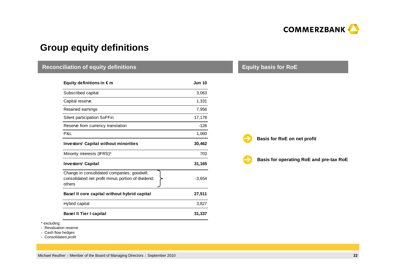

## **Group equity definitions**

#### **Equity definitions in € mI** and the set of the set of the set of the set of the set of the set of the set of the set of the set of the set of the set of the set of the set of the set of the set of the set of the set of the set of the set of the s Subscribed capital $\sim$  3,063 Capital reserve $e$  and  $1,331$ Retained earnings 7,956 Silent participation SoFFinn 17,178 Reserve from currency translation  $-126$ P&L $\blacksquare$ **Investors' Capital without minorities 30,462**Minority interests (IFRS)\* 703 **Investors' Capital 31,165**Change in consolidated companies; goodwill; consolidated net profit minus portion of dividend; others-3,654**Basel II core capital without hybrid capital 27,511** Hybrid capital 3,827 **Basel II Tier I capital 31,337 Reconciliation of equity definitionsBasis for RoE on net profitEquity basis for RoEBasis for operating RoE and pre-tax RoE**

\* excluding:

- Revaluation reserve

- Cash flow hedges

- Consolidated profit

Michael Reuther | Member of the Board of Managing Directors | September 2010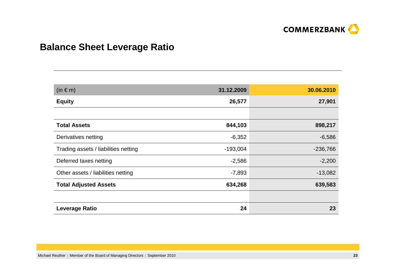

# **Balance Sheet Leverage Ratio**

| $(in \in m)$                         | 31.12.2009 | 30.06.2010 |
|--------------------------------------|------------|------------|
| <b>Equity</b>                        | 26,577     | 27,901     |
|                                      |            |            |
| <b>Total Assets</b>                  | 844,103    | 898,217    |
| Derivatives netting                  | $-6,352$   | $-6,586$   |
| Trading assets / liabilities netting | $-193,004$ | $-236,766$ |
| Deferred taxes netting               | $-2,586$   | $-2,200$   |
| Other assets / liabilities netting   | $-7,893$   | $-13,082$  |
| <b>Total Adjusted Assets</b>         | 634,268    | 639,583    |
|                                      |            |            |
| <b>Leverage Ratio</b>                | 24         | 23         |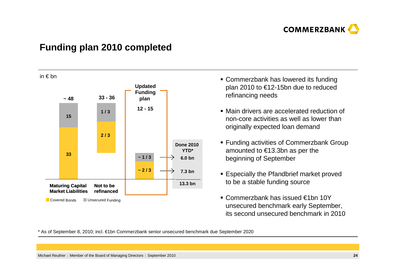

### **Funding plan 2010 completed**

in € bn



- Commerzbank has lowered its funding plan 2010 to €12-15bn due to reduced refinancing needs
- Main drivers are accelerated reduction of non-core activities as well as lower than originally expected loan demand
- Funding activities of Commerzbank Group amounted to €13.3bn as per the beginning of September
- Especially the Pfandbrief market proved to be a stable funding source
- Commerzbank has issued €1bn 10Y unsecured benchmark early September, its second unsecured benchmark in 2010

\* As of September 8, 2010; incl. €1bn Commerzbank senior unsecured benchmark due September 2020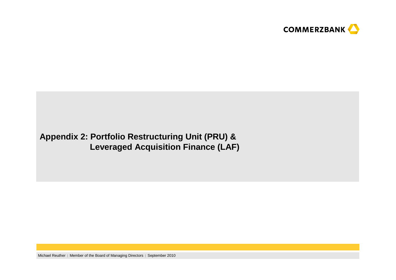

# **Appendix 2: Portfolio Restructuring Unit (PRU) & Leveraged Acquisition Finance (LAF)**

Michael Reuther | Member of the Board of Managing Directors | September 2010 **<sup>25</sup>**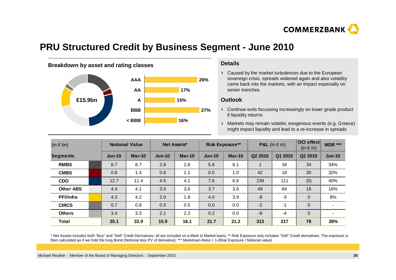

# **PRU Structured Credit by Business Segment - June 2010**



Caused by the market turbulences due to the European sovereign crisis, spreads widened again and also volatility came back into the markets, with an impact especially on senior tranches.

#### **Outlook**

Continue exits focussing increasingly on lower grade product if liquidity returns

Markets may remain volatile; exogenous events (e.g. Greece) might impact liquidity and lead to a re-increase in spreads

| (in $\in$ bn)    |  | <b>Notional Value</b> |          | Net Assets* |          | <b>Risk Exposure**</b> |        | <b>P&amp;L</b> (in $\in$ m) |         | <b>OCI</b> effect<br>$(in \in m)$ | <b>MDR ***</b>           |
|------------------|--|-----------------------|----------|-------------|----------|------------------------|--------|-----------------------------|---------|-----------------------------------|--------------------------|
| <b>Segments</b>  |  | $Jun-10$              | $Mar-10$ | $Jun-10$    | $Mar-10$ | $Jun-10$               | Mar-10 | Q <sub>2</sub> 2010         | Q1 2010 | Q <sub>2</sub> 2010               | $Jun-10$                 |
| <b>RMBS</b>      |  | 8.7                   | 8.7      | 2.8         | 2.8      | 5.8                    | 6.1    |                             | 34      | 34                                | 34%                      |
| <b>CMBS</b>      |  | 0.8                   | 1.4      | 0.6         | 1.1      | 0.5                    | 1.0    | 42                          | 18      | 30                                | 32%                      |
| <b>CDO</b>       |  | 12.7                  | 11.4     | 4.5         | 4.1      | 7.6                    | 6.6    | 239                         | 111     | (5)                               | 40%                      |
| <b>Other ABS</b> |  | 4.4                   | 4.1      | 3.5         | 3.6      | 3.7                    | 3.6    | 49                          | 64      | 18                                | 16%                      |
| <b>PFI/Infra</b> |  | 4.3                   | 4.2      | 2.0         | 1.8      | 4.0                    | 3.9    | -8                          | -3      | $\mathbf{0}$                      | 8%                       |
| <b>CIRCS</b>     |  | 0.7                   | 0.8      | 0.5         | 0.5      | 0.0                    | 0.0    | $-2$                        | -1      | $\overline{0}$                    |                          |
| <b>Others</b>    |  | 3.4                   | 3.3      | 2.1         | 2.2      | 0.2                    | 0.0    | $-8$                        | $-4$    | $\mathbf{0}$                      | $\overline{\phantom{a}}$ |
| <b>Total</b>     |  | 35.1                  | 33.9     | 15.9        | 16.1     | 21.7                   | 21.2   | 313                         | 217     | 78                                | 38%                      |

\* Net Assets includes both "Buy" and "Sell" Credit Derivatives; all are included on a Mark to Market basis; \*\* Risk Exposure only includes "Sell" Credit derivatives. The exposure is then calculated as if we hold the long Bond (Notional less PV of derivative); \*\*\* Markdown-Ratio = 1-(Risk Exposure / Notional value)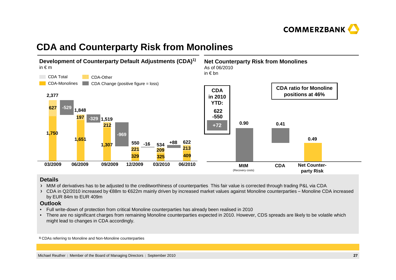

# **CDA and Counterparty Risk from Monolines**



#### **Details**

- MtM of derivatives has to be adjusted to the creditworthiness of counterparties. This fair value is corrected through trading P&L via CDA.
- CDA in Q2/2010 increased by €88m to €622m mainly driven by increased market values against Monoline counterparties Monoline CDA increased by EUR 84m to EUR 409m

#### **Outlook**

- Full write-down of protection from critical Monoline counterparties has already been realised in 2010
- There are no significant charges from remaining Monoline counterparties expected in 2010. However, CDS spreads are likely to be volatile which might lead to changes in CDA accordingly.

**1)** CDAs referring to Monoline and Non-Monoline counterparties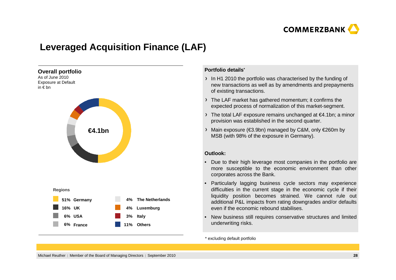

# **Leveraged Acquisition Finance (LAF)**



#### **Portfolio details\***

- In H1 2010 the portfolio was characterised by the funding of new transactions as well as by amendments and prepayments of existing transactions.
- The LAF market has gathered momentum; it confirms the expected process of normalization of this market-segment.
- The total LAF exposure remains unchanged at €4.1bn; a minor provision was established in the second quarter.
- Main exposure (€3.9bn) managed by C&M, only €260m by MSB (with 98% of the exposure in Germany).

#### **Outlook:**

- • Due to their high leverage most companies in the portfolio are more susceptible to the economic environment than other corporates across the Bank.
- • Particularly lagging business cycle sectors may experience difficulties in the current stage in the economic cycle if their liquidity position becomes strained. We cannot rule out additional P&L impacts from rating downgrades and/or defaults even if the economic rebound stabilises.
- • New business still requires conservative structures and limited underwriting risks.

\* excluding default portfolio

Michael Reuther | Member of the Board of Managing Directors | September 2010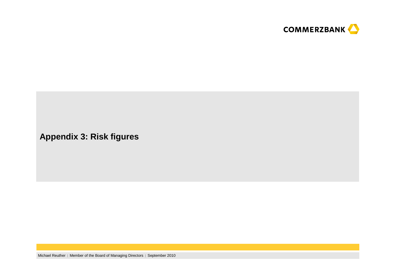

**Appendix 3: Risk figures**

Michael Reuther | Member of the Board of Managing Directors | September 2010 **<sup>29</sup>**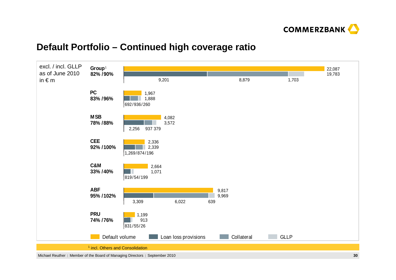

# **Default Portfolio – Continued high coverage ratio**

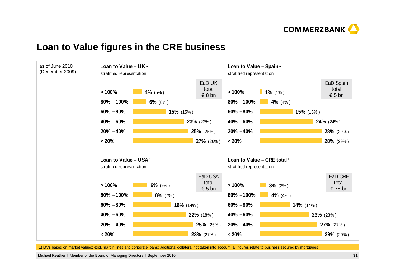



### **Loan to Value figures in the CRE business**

1) LtVs based on market values; excl. margin lines and corporate loans; additional collateral not taken into account; all figures relate to business secured by mortgages

Michael Reuther | Member of the Board of Managing Directors | September 2010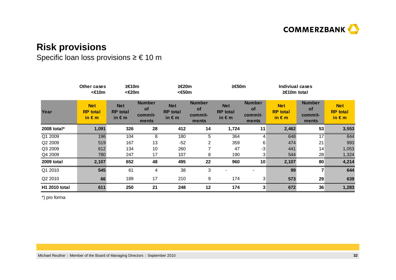

# **Risk provisions**

# Specific loan loss provisions ≥  $\in$  10 m

|               | Other cases<br><€10m                             | ≥€10m<br><€20m                                   |                                                | ≥€20m<br><€50m                                   |                                                | ≥€50m                                            |                                         | Indiviual cases<br>$≥€10m$ total                 |                                                |                                                  |
|---------------|--------------------------------------------------|--------------------------------------------------|------------------------------------------------|--------------------------------------------------|------------------------------------------------|--------------------------------------------------|-----------------------------------------|--------------------------------------------------|------------------------------------------------|--------------------------------------------------|
| Year          | <b>Net</b><br><b>RP</b> total<br>in $\epsilon$ m | <b>Net</b><br><b>RP</b> total<br>in $\epsilon$ m | <b>Number</b><br><b>of</b><br>commit-<br>ments | <b>Net</b><br><b>RP</b> total<br>in $\epsilon$ m | <b>Number</b><br><b>of</b><br>commit-<br>ments | <b>Net</b><br><b>RP</b> total<br>in $\epsilon$ m | <b>Number</b><br>of<br>commit-<br>ments | <b>Net</b><br><b>RP</b> total<br>in $\epsilon$ m | <b>Number</b><br><b>of</b><br>commit-<br>ments | <b>Net</b><br><b>RP</b> total<br>in $\epsilon$ m |
| 2008 total*   | 1,091                                            | 326                                              | 28                                             | 412                                              | 14                                             | 1,724                                            | 11                                      | 2,462                                            | 53                                             | 3,553                                            |
| Q1 2009       | 196                                              | 104                                              | 8                                              | 180                                              | 5                                              | 364                                              | 4                                       | 648                                              | $\overline{17}$                                | 844                                              |
| Q2 2009       | 519                                              | 167                                              | 13                                             | $-52$                                            | $\overline{2}$                                 | 359                                              | 6                                       | 474                                              | 21                                             | 993                                              |
| Q3 2009       | 612                                              | 134                                              | 10                                             | 260                                              | 7                                              | 47                                               | -3                                      | 441                                              | 14                                             | 1,053                                            |
| Q4 2009       | 780                                              | 247                                              | 17                                             | 107                                              | 8                                              | 190                                              | 3                                       | 544                                              | 28                                             | 1,324                                            |
| 2009 total    | 2,107                                            | 652                                              | 48                                             | 495                                              | 22                                             | 960                                              | 10                                      | 2,107                                            | 80                                             | 4,214                                            |
| Q1 2010       | 545                                              | 61                                               | 4                                              | 38                                               | 3                                              |                                                  |                                         | 99                                               |                                                | 644                                              |
| Q2 2010       | 66                                               | 189                                              | 17                                             | 210                                              | 9                                              | 174                                              | 3                                       | 573                                              | 29                                             | 639                                              |
| H1 2010 total | 611                                              | 250                                              | 21                                             | 248                                              | 12                                             | 174                                              | 3                                       | 672                                              | 36                                             | 1,283                                            |

\*) pro forma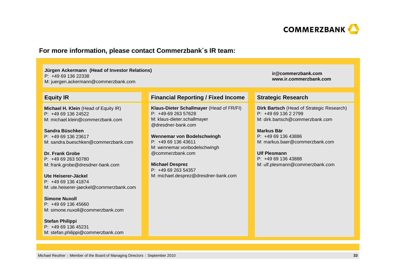

#### **For more information, please contact Commerzbank´s IR team:**

#### **Jürgen Ackermann (Head of Investor Relations)**

P: +49 69 136 22338

M: juergen.ackermann@commerzbank.com

#### **Equity IR**

**Michael H. Klein** (Head of Equity IR)P: +49 69 136 24522M: michael.klein@commerzbank.com

**Sandra Büschken** P: +49 69 136 23617M: sandra.bueschken@commerzbank.com

**Dr. Frank Grobe** P: +49 69 263 50780M: frank.grobe@dresdner-bank.com

**Ute Heiserer-Jäckel** P: +49 69 136 41874M: ute.heiserer-jaeckel@commerzbank.com

**Simone Nuxoll** P: +49 69 136 45660M: simone.nuxoll@commerzbank.com

**Stefan Philippi** P: +49 69 136 45231M: stefan.philippi@commerzbank.com

#### **Financial Reporting / Fixed Income Strategic Research**

**Klaus-Dieter Schallmayer** (Head of FR/FI) P: +49-69 263 57628 M: klaus-dieter.schallmayer@dresdner-bank.com

**Wennemar von Bodelschwingh**P: +49 69 136 43611 M: wennemar.vonbodelschwingh@commerzbank.com

**Michael Desprez** P: +49 69 263 54357M: michael.desprez@dresdner-bank.com **ir@commerzbank.comwww.ir.commerzbank.com**

**Dirk Bartsch** (Head of Strategic Research) P: +49 69 136 2 2799 M: dirk.bartsch@commerzbank.com

**Markus Bär** P: +49 69 136 43886 M: markus.baer@commerzbank.com

**Ulf Plesmann** P: +49 69 136 43888 M: ulf.plesmann@commerzbank.com

Michael Reuther | Member of the Board of Managing Directors | September 2010